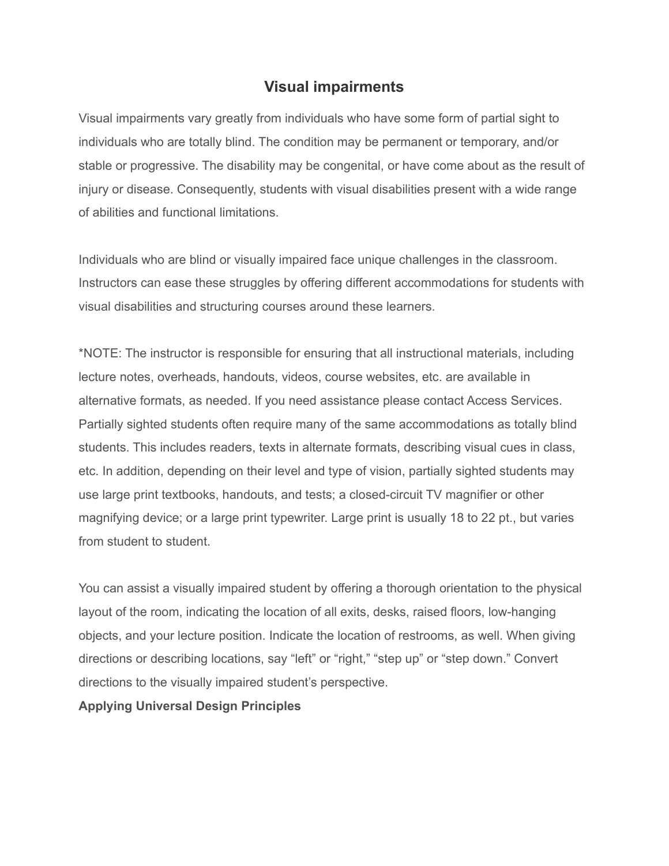## **Visual impairments**

Visual impairments vary greatly from individuals who have some form of partial sight to individuals who are totally blind. The condition may be permanent or temporary, and/or stable or progressive. The disability may be congenital, or have come about as the result of injury or disease. Consequently, students with visual disabilities present with a wide range of abilities and functional limitations.

Individuals who are blind or visually impaired face unique challenges in the classroom. Instructors can ease these struggles by offering different accommodations for students with visual disabilities and structuring courses around these learners.

\*NOTE: The instructor is responsible for ensuring that all instructional materials, including lecture notes, overheads, handouts, videos, course websites, etc. are available in alternative formats, as needed. If you need assistance please contact Access Services. Partially sighted students often require many of the same accommodations as totally blind students. This includes readers, texts in alternate formats, describing visual cues in class, etc. In addition, depending on their level and type of vision, partially sighted students may use large print textbooks, handouts, and tests; a closed-circuit TV magnifier or other magnifying device; or a large print typewriter. Large print is usually 18 to 22 pt., but varies from student to student.

You can assist a visually impaired student by offering a thorough orientation to the physical layout of the room, indicating the location of all exits, desks, raised floors, low-hanging objects, and your lecture position. Indicate the location of restrooms, as well. When giving directions or describing locations, say "left" or "right," "step up" or "step down." Convert directions to the visually impaired student's perspective.

**Applying Universal Design Principles**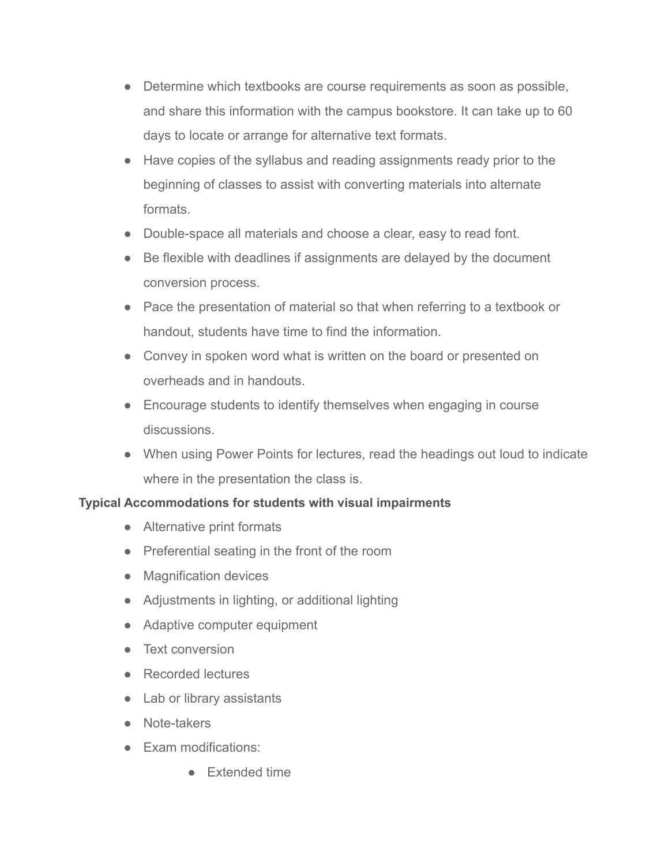- Determine which textbooks are course requirements as soon as possible, and share this information with the campus bookstore. It can take up to 60 days to locate or arrange for alternative text formats.
- Have copies of the syllabus and reading assignments ready prior to the beginning of classes to assist with converting materials into alternate formats.
- Double-space all materials and choose a clear, easy to read font.
- Be flexible with deadlines if assignments are delayed by the document conversion process.
- Pace the presentation of material so that when referring to a textbook or handout, students have time to find the information.
- Convey in spoken word what is written on the board or presented on overheads and in handouts.
- Encourage students to identify themselves when engaging in course discussions.
- When using Power Points for lectures, read the headings out loud to indicate where in the presentation the class is.

## **Typical Accommodations for students with visual impairments**

- Alternative print formats
- Preferential seating in the front of the room
- Magnification devices
- Adjustments in lighting, or additional lighting
- Adaptive computer equipment
- Text conversion
- Recorded lectures
- Lab or library assistants
- Note-takers
- Exam modifications:
	- Extended time